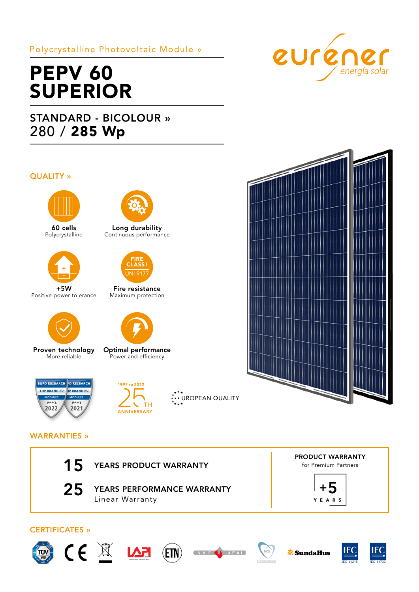## Polycrystalline Photovoltaic Module »

# PEPV<sub>60</sub> SUPERIOR

## STANDARD - BICOLOUR » 280 / 285 Wp

## QUALITY »



60 cells Polycrystalline



+5W Positive power tolerance



Proven technology More reliable



Long durability Continuous performance



Fire resistance Maximum protection



Optimal performance Power and efficiency





\*<sup>\*</sup>\*\* UROPEAN QUALITY





## WARRANTIES »



25 YEARS PERFORMANCE WARRANTY Linear Warranty















**SundaHus**